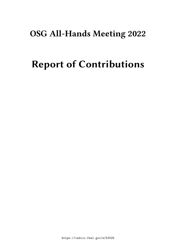## **OSG All-Hands Meeting 2022**

# **Report of Contributions**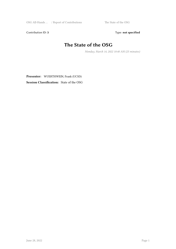Contribution ID: 3 Type: **not specified** 

#### **The State of the OSG**

*Monday, March 14, 2022 10:40 AM (25 minutes)*

**Presenter:** WUERTHWEIN, Frank (UCSD) **Session Classification:** State of the OSG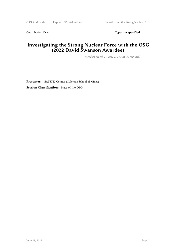Contribution ID: 4 Type: **not specified** 

#### **Investigating the Strong Nuclear Force with the OSG (2022 David Swanson Awardee)**

*Monday, March 14, 2022 11:30 AM (30 minutes)*

**Presenter:** NATZKE, Connor (Colorado School of Mines)

**Session Classification:** State of the OSG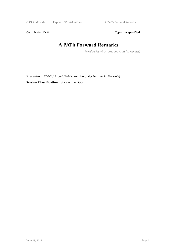Contribution ID: 5 Type: **not specified** 

## **A PATh Forward Remarks**

*Monday, March 14, 2022 10:30 AM (10 minutes)*

**Presenter:** LIVNY, Miron (UW-Madison, Morgridge Institute for Research) **Session Classification:** State of the OSG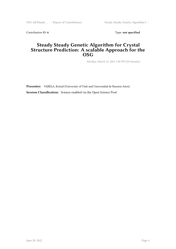OSG All-Hands ... / Report of Contributions Steady Steady Genetic Algorithm f...

Contribution ID: 6 Type: not specified

#### **Steady Steady Genetic Algorithm for Crystal Structure Prediction: A scalable Approach for the OSG**

*Monday, March 14, 2022 1:00 PM (20 minutes)*

**Presenter:** VARELA, Kristal (University of Utah and Universidad de Buenon Aires) **Session Classification:** Science enabled via the Open Science Pool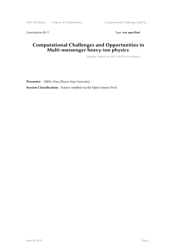Contribution ID: 7 Type: **not specified** 

#### **Computational Challenges and Opportunities in Multi-messenger heavy-ion physics**

*Monday, March 14, 2022 1:20 PM (20 minutes)*

**Presenter:** SHEN, Chun (Wayne State University) **Session Classification:** Science enabled via the Open Science Pool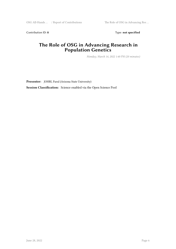Contribution ID: 8 Type: not specified

#### **The Role of OSG in Advancing Research in Population Genetics**

*Monday, March 14, 2022 1:40 PM (20 minutes)*

**Presenter:** JOHRI, Parul (Arizona State University)

**Session Classification:** Science enabled via the Open Science Pool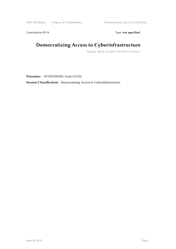Contribution ID: 9 Type: **not specified** 

## **Democratizing Access to Cyberinfrastructure**

*Tuesday, March 15, 2022 10:30 AM (5 minutes)*

**Presenter:** WUERTHWEIN, Frank (UCSD)

**Session Classification:** Democratizing Access to Cyberinfrastructure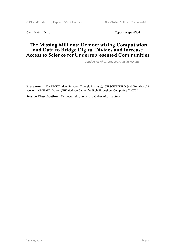OSG All-Hands … / Report of Contributions The Missing Millions: Democratizi ...

Contribution ID: 10 Type: not specified

#### **The Missing Millions: Democratizing Computation and Data to Bridge Digital Divides and Increase Access to Science for Underrepresented Communities**

*Tuesday, March 15, 2022 10:35 AM (25 minutes)*

**Presenters:** BLATECKY, Alan (Research Triangle Institute); GERSCHENFELD, Joel (Brandeis University); MICHAEL, Lauren (UW-Madison Center for High Throughput Computing (CHTC))

**Session Classification:** Democratizing Access to Cyberinfrastructure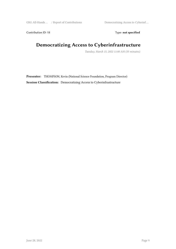Contribution ID: 11 Type: **not specified** 

## **Democratizing Access to Cyberinfrastructure**

*Tuesday, March 15, 2022 11:00 AM (35 minutes)*

**Presenter:** THOMPSON, Kevin (National Science Foundation, Program Director) **Session Classification:** Democratizing Access to Cyberinfrastructure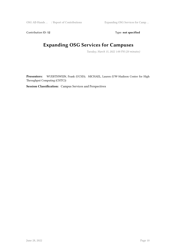Contribution ID: 12 Type: **not specified** 

## **Expanding OSG Services for Campuses**

*Tuesday, March 15, 2022 1:00 PM (20 minutes)*

**Presenters:** WUERTHWEIN, Frank (UCSD); MICHAEL, Lauren (UW-Madison Center for High Throughput Computing (CHTC))

**Session Classification:** Campus Services and Perspectives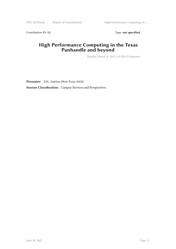Contribution ID: 13 Type: **not specified** 

#### **High Performance Computing in the Texas Panhandle and beyond**

*Tuesday, March 15, 2022 1:20 PM (23 minutes)*

**Presenter:** PAL, Anirban (West Texas A&M)

**Session Classification:** Campus Services and Perspectives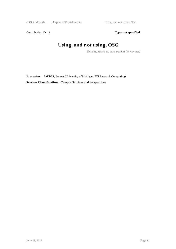Contribution ID: 14 Type: **not specified** 

## **Using, and not using, OSG**

*Tuesday, March 15, 2022 1:43 PM (23 minutes)*

**Presenter:** FAUBER, Bennet (University of Michigan, ITS Research Computing) **Session Classification:** Campus Services and Perspectives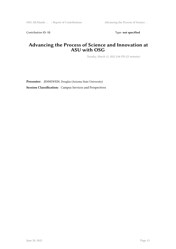Contribution ID: 15 Type: **not specified** 

#### **Advancing the Process of Science and Innovation at ASU with OSG**

*Tuesday, March 15, 2022 2:06 PM (23 minutes)*

**Presenter:** JENNEWEIN, Douglas (Arizona State University) **Session Classification:** Campus Services and Perspectives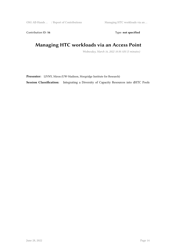Contribution ID: 16 Type: **not specified** 

### **Managing HTC workloads via an Access Point**

*Wednesday, March 16, 2022 10:30 AM (5 minutes)*

**Presenter:** LIVNY, Miron (UW-Madison, Morgridge Institute for Research)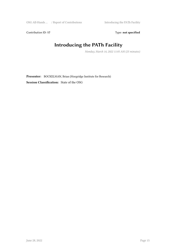Contribution ID: 17 Type: **not specified** 

## **Introducing the PATh Facility**

*Monday, March 14, 2022 11:05 AM (25 minutes)*

**Presenter:** BOCKELMAN, Brian (Morgridge Institute for Research) **Session Classification:** State of the OSG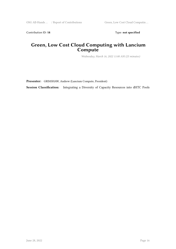Contribution ID: 18 Type: **not specified** 

#### **Green, Low Cost Cloud Computing with Lancium Compute**

*Wednesday, March 16, 2022 11:00 AM (25 minutes)*

**Presenter:** GRIMSHAW, Andrew (Lancium Compute, President)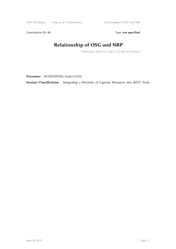Contribution ID: 19 Type: not specified

## **Relationship of OSG and NRP**

*Wednesday, March 16, 2022 11:25 AM (25 minutes)*

**Presenter:** WUERTHWEIN, Frank (UCSD)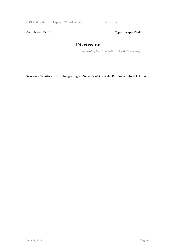OSG All-Hands … / Report of Contributions Discussion

Contribution ID: 20 Type: **not specified** 

### **Discussion**

*Wednesday, March 16, 2022 11:50 AM (10 minutes)*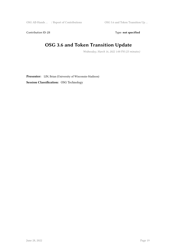Contribution ID: 21 Type: **not specified** 

### **OSG 3.6 and Token Transition Update**

*Wednesday, March 16, 2022 1:00 PM (25 minutes)*

**Presenter:** LIN, Brian (University of Wisconsin-Madison)

**Session Classification:** OSG Technology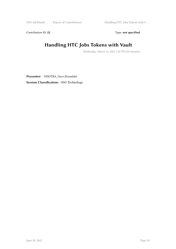Contribution ID: 22 Type: **not specified** 

## **Handling HTC Jobs Tokens with Vault**

*Wednesday, March 16, 2022 1:25 PM (20 minutes)*

**Presenter:** DYKSTRA, Dave (Fermilab) **Session Classification:** OSG Technology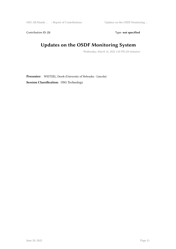Contribution ID: 23 Type: **not specified** 

## **Updates on the OSDF Monitoring System**

*Wednesday, March 16, 2022 1:45 PM (20 minutes)*

**Presenter:** WEITZEL, Derek (University of Nebraska - Lincoln) **Session Classification:** OSG Technology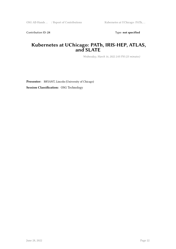Contribution ID: 24 Type: **not specified** 

#### **Kubernetes at UChicago: PATh, IRIS-HEP, ATLAS, and SLATE**

*Wednesday, March 16, 2022 2:05 PM (25 minutes)*

**Presenter:** BRYANT, Lincoln (University of Chicago) **Session Classification:** OSG Technology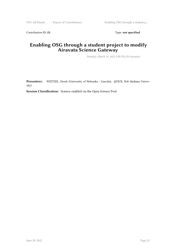Contribution ID: 25 Type: **not specified** 

#### **Enabling OSG through a student project to modify Airavata Science Gateway**

*Monday, March 14, 2022 2:00 PM (30 minutes)*

**Presenters:** WEITZEL, Derek (University of Nebraska - Lincoln); QUICK, Rob (Indiana University)

**Session Classification:** Science enabled via the Open Science Pool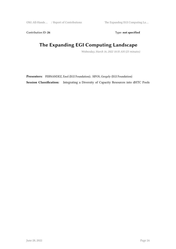Contribution ID: 26 Type: not specified

## **The Expanding EGI Computing Landscape**

*Wednesday, March 16, 2022 10:35 AM (25 minutes)*

**Presenters:** FERNANDEZ, Enol (EGI Foundation); SIPOS, Gergely (EGI Foundation) **Session Classification:** Integrating a Diversity of Capacity Resources into dHTC Pools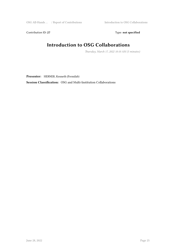Contribution ID: 27 Type: **not specified** 

## **Introduction to OSG Collaborations**

*Thursday, March 17, 2022 10:10 AM (5 minutes)*

**Presenter:** HERNER, Kenneth (Fermilab)

**Session Classification:** OSG and Multi-Institution Collaborations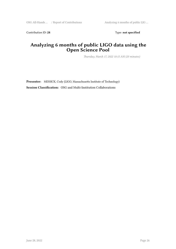Contribution ID: 28 Type: **not specified** 

#### **Analyzing 6 months of public LIGO data using the Open Science Pool**

*Thursday, March 17, 2022 10:15 AM (20 minutes)*

**Presenter:** MESSICK, Cody (LIGO, Massachusetts Institute of Technology) **Session Classification:** OSG and Multi-Institution Collaborations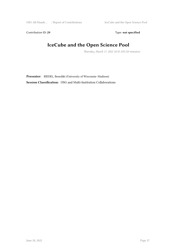Contribution ID: 29 Type: **not specified** 

## **IceCube and the Open Science Pool**

*Thursday, March 17, 2022 10:35 AM (20 minutes)*

**Presenter:** RIEDEL, Benedikt (University of Wisconsin–Madison) **Session Classification:** OSG and Multi-Institution Collaborations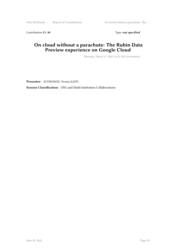Contribution ID: 30 Type: **not specified** 

#### **On cloud without a parachute: The Rubin Data Preview experience on Google Cloud**

*Thursday, March 17, 2022 10:55 AM (20 minutes)*

**Presenter:** ECONOMOU, Frossie (LSST) **Session Classification:** OSG and Multi-Institution Collaborations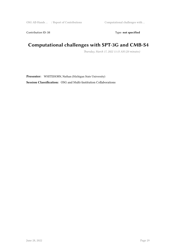Contribution ID: 31 Type: **not specified** 

## **Computational challenges with SPT-3G and CMB-S4**

*Thursday, March 17, 2022 11:15 AM (20 minutes)*

**Presenter:** WHITEHORN, Nathan (Michigan State University) **Session Classification:** OSG and Multi-Institution Collaborations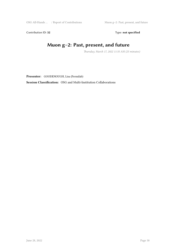Contribution ID: 32 Type: **not specified** 

## **Muon g–2: Past, present, and future**

*Thursday, March 17, 2022 11:35 AM (25 minutes)*

**Presenter:** GOODENOUGH, Lisa (Fermilab)

**Session Classification:** OSG and Multi-Institution Collaborations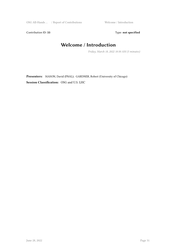Contribution ID: 33 Type: **not specified** 

## **Welcome / Introduction**

*Friday, March 18, 2022 10:30 AM (5 minutes)*

**Presenters:** MASON, David (FNAL); GARDNER, Robert (University of Chicago) **Session Classification:** OSG and U.S. LHC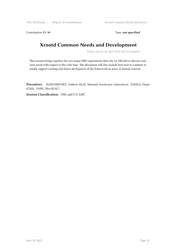Contribution ID: 34 Type: **not specified** 

#### **Xrootd Common Needs and Development**

*Friday, March 18, 2022 10:35 AM (25 minutes)*

This session brings together the two major HEP experiments that rely on XRootD to discuss common needs with respect to the code base. The discussion will also include how best to continue to jointly support existing and future devlopment of the framework in areas of mutual concern.

**Presenters:** HANUSHEVSKY, Andrew (SLAC National Accelerator Laboratory); DAVILA, Diego (CMS); YANG, Wei (SLAC)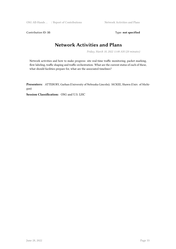Contribution ID: 35 Type: **not specified** 

#### **Network Activities and Plans**

*Friday, March 18, 2022 11:00 AM (20 minutes)*

Network activities and how to make progress: site real-time traffic monitoring, packet marking, flow labeling, traffic shaping and traffic orchestration. What are the current status of each of these, what should facilities prepare for, what are the associated timelines?

**Presenters:** ATTEBURY, Garhan (University of Nebraska-Lincoln); MCKEE, Shawn (Univ. of Michigan)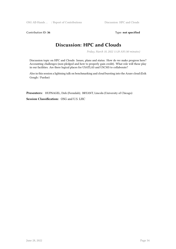Contribution ID: 36 Type: **not specified** 

#### **Discussion: HPC and Clouds**

*Friday, March 18, 2022 11:20 AM (40 minutes)*

Discussion topic on HPC and Clouds: Issues, plans and status. How do we make progress here? Accounting challenges (non-pledged and how to properly gain credit). What role will these play in our facilities. Are there logical places for USATLAS and USCMS to collaborate?

Also in this session a lightning talk on benchmarking and cloud bursting into the Azure cloud (Erik Gough / Purdue)

**Presenters:** HUFNAGEL, Dirk (Fermilab); BRYANT, Lincoln (University of Chicago)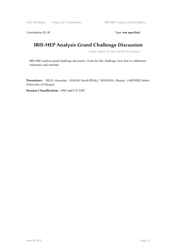Contribution ID: 37 Type: **not specified** 

#### **IRIS-HEP Analysis Grand Challenge Discussion**

*Friday, March 18, 2022 1:00 PM (25 minutes)*

IRIS-HEP analysis grand challenge discussion: Goals for this challenge, how best to collaborate, milestones and schedule .

**Presenters:** HELD, Alexander; MASON, David (FNAL); SHADURA, Oksana; GARDNER, Robert (University of Chicago)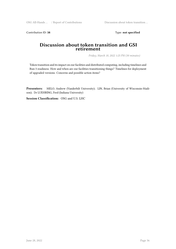Contribution ID: 38 Type: **not specified** 

#### **Discussion about token transition and GSI retirement**

*Friday, March 18, 2022 1:25 PM (30 minutes)*

Token transition and its impact on our facilities and distributed computing, including timelines and Run-3 readiness. How and when are our facilities transitioning things? Timelines for deployment of upgraded versions. Concerns and possible action items?

**Presenters:** MELO, Andrew (Vanderbilt University); LIN, Brian (University of Wisconsin-Madison); Dr LUEHRING, Fred (Indiana University)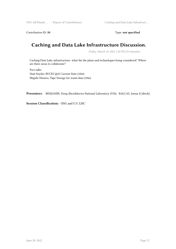Contribution ID: 39 Type: **not specified** 

#### **Caching and Data Lake Infrastructure Discussion.**

*Friday, March 18, 2022 1:55 PM (35 minutes)*

Caching/Data Lake infrastructure: what the the plans and technologies being considered? Where are there areas to collaborate?

Two talks: Matt Snyder, RUCIO QoS Current State (10m) Shigeki Misawa, Tape Storage for warm data (10m)

**Presenters:** BENJAMIN, Doug (Brookhaven National Laboratory (US)); BALCAS, Justas (Caltech)